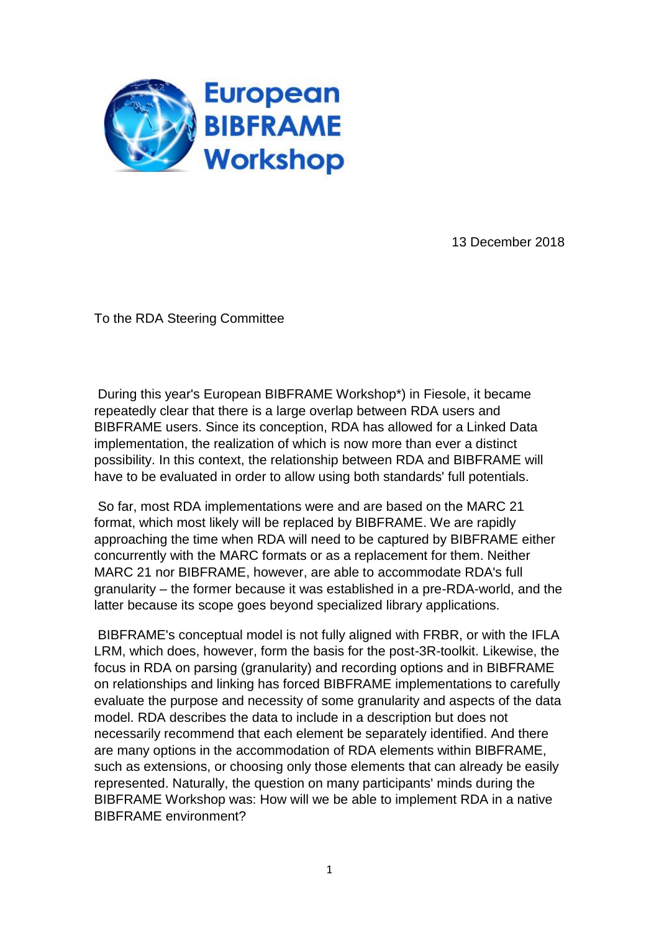

13 December 2018

To the RDA Steering Committee

During this year's European BIBFRAME Workshop\*) in Fiesole, it became repeatedly clear that there is a large overlap between RDA users and BIBFRAME users. Since its conception, RDA has allowed for a Linked Data implementation, the realization of which is now more than ever a distinct possibility. In this context, the relationship between RDA and BIBFRAME will have to be evaluated in order to allow using both standards' full potentials.

So far, most RDA implementations were and are based on the MARC 21 format, which most likely will be replaced by BIBFRAME. We are rapidly approaching the time when RDA will need to be captured by BIBFRAME either concurrently with the MARC formats or as a replacement for them. Neither MARC 21 nor BIBFRAME, however, are able to accommodate RDA's full granularity – the former because it was established in a pre-RDA-world, and the latter because its scope goes beyond specialized library applications.

BIBFRAME's conceptual model is not fully aligned with FRBR, or with the IFLA LRM, which does, however, form the basis for the post-3R-toolkit. Likewise, the focus in RDA on parsing (granularity) and recording options and in BIBFRAME on relationships and linking has forced BIBFRAME implementations to carefully evaluate the purpose and necessity of some granularity and aspects of the data model. RDA describes the data to include in a description but does not necessarily recommend that each element be separately identified. And there are many options in the accommodation of RDA elements within BIBFRAME, such as extensions, or choosing only those elements that can already be easily represented. Naturally, the question on many participants' minds during the BIBFRAME Workshop was: How will we be able to implement RDA in a native BIBFRAME environment?